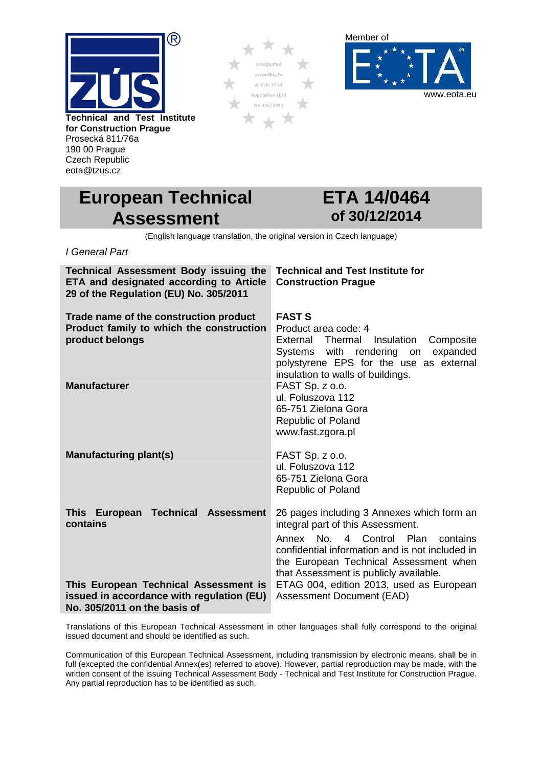

Prosecká 811/76a 190 00 Prague Czech Republic eota@tzus.cz





# **European Technical Assessment**

# **ETA 14/0464 of 30/12/2014**

(English language translation, the original version in Czech language)

I General Part

| <b>Technical Assessment Body issuing the</b><br>ETA and designated according to Article<br>29 of the Regulation (EU) No. 305/2011 | <b>Technical and Test Institute for</b><br><b>Construction Prague</b>                                                                                                                                            |
|-----------------------------------------------------------------------------------------------------------------------------------|------------------------------------------------------------------------------------------------------------------------------------------------------------------------------------------------------------------|
| Trade name of the construction product<br>Product family to which the construction<br>product belongs                             | <b>FAST S</b><br>Product area code: 4<br>External Thermal<br>Insulation<br>Composite<br>Systems with rendering<br>expanded<br>on<br>polystyrene EPS for the use as external<br>insulation to walls of buildings. |
| <b>Manufacturer</b>                                                                                                               | FAST Sp. z o.o.<br>ul. Foluszova 112<br>65-751 Zielona Gora<br><b>Republic of Poland</b><br>www.fast.zgora.pl                                                                                                    |
| <b>Manufacturing plant(s)</b>                                                                                                     | FAST Sp. z o.o.<br>ul. Foluszova 112<br>65-751 Zielona Gora<br><b>Republic of Poland</b>                                                                                                                         |
| <b>Technical Assessment</b><br>This European<br>contains                                                                          | 26 pages including 3 Annexes which form an<br>integral part of this Assessment.                                                                                                                                  |
|                                                                                                                                   | Annex No. 4 Control Plan<br>contains<br>confidential information and is not included in<br>the European Technical Assessment when<br>that Assessment is publicly available.                                      |
| This European Technical Assessment is<br>issued in accordance with regulation (EU)<br>No. 305/2011 on the basis of                | ETAG 004, edition 2013, used as European<br><b>Assessment Document (EAD)</b>                                                                                                                                     |

Translations of this European Technical Assessment in other languages shall fully correspond to the original issued document and should be identified as such.

Communication of this European Technical Assessment, including transmission by electronic means, shall be in full (excepted the confidential Annex(es) referred to above). However, partial reproduction may be made, with the written consent of the issuing Technical Assessment Body - Technical and Test Institute for Construction Prague. Any partial reproduction has to be identified as such.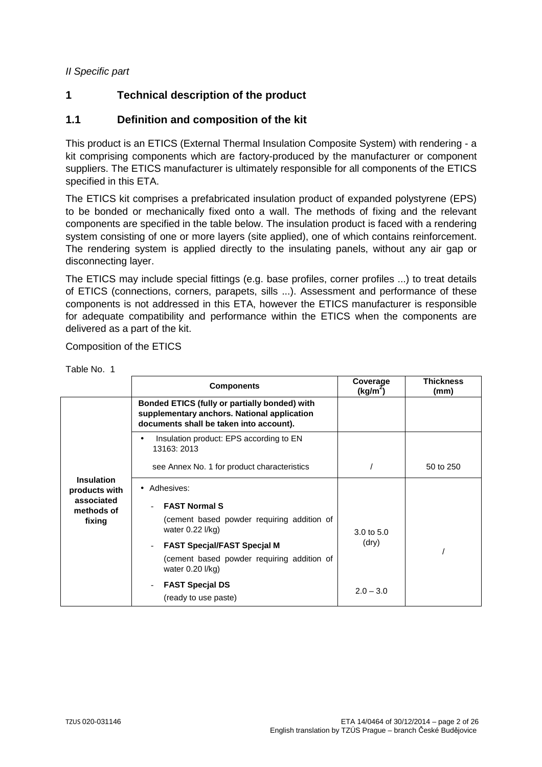#### II Specific part

## **1 Technical description of the product**

#### **1.1 Definition and composition of the kit**

This product is an ETICS (External Thermal Insulation Composite System) with rendering - a kit comprising components which are factory-produced by the manufacturer or component suppliers. The ETICS manufacturer is ultimately responsible for all components of the ETICS specified in this ETA.

The ETICS kit comprises a prefabricated insulation product of expanded polystyrene (EPS) to be bonded or mechanically fixed onto a wall. The methods of fixing and the relevant components are specified in the table below. The insulation product is faced with a rendering system consisting of one or more layers (site applied), one of which contains reinforcement. The rendering system is applied directly to the insulating panels, without any air gap or disconnecting layer.

The ETICS may include special fittings (e.g. base profiles, corner profiles ...) to treat details of ETICS (connections, corners, parapets, sills ...). Assessment and performance of these components is not addressed in this ETA, however the ETICS manufacturer is responsible for adequate compatibility and performance within the ETICS when the components are delivered as a part of the kit.

Composition of the ETICS

|                                    | <b>Components</b>                                                                                                                       | Coverage<br>(kg/m <sup>2</sup> ) | <b>Thickness</b><br>(mm) |
|------------------------------------|-----------------------------------------------------------------------------------------------------------------------------------------|----------------------------------|--------------------------|
|                                    | Bonded ETICS (fully or partially bonded) with<br>supplementary anchors. National application<br>documents shall be taken into account). |                                  |                          |
|                                    | Insulation product: EPS according to EN<br>$\bullet$<br>13163: 2013                                                                     |                                  |                          |
|                                    | see Annex No. 1 for product characteristics                                                                                             |                                  | 50 to 250                |
| <b>Insulation</b><br>products with | • Adhesives:                                                                                                                            |                                  |                          |
| associated<br>methods of<br>fixing | <b>FAST Normal S</b>                                                                                                                    |                                  |                          |
|                                    | (cement based powder requiring addition of<br>water $0.22$ $I/kg$                                                                       | $3.0 \text{ to } 5.0$            |                          |
|                                    | <b>FAST Specjal/FAST Specjal M</b>                                                                                                      | (dry)                            |                          |
|                                    | (cement based powder requiring addition of<br>water 0.20 l/kg)                                                                          |                                  |                          |
|                                    | <b>FAST Special DS</b>                                                                                                                  | $2.0 - 3.0$                      |                          |
|                                    | (ready to use paste)                                                                                                                    |                                  |                          |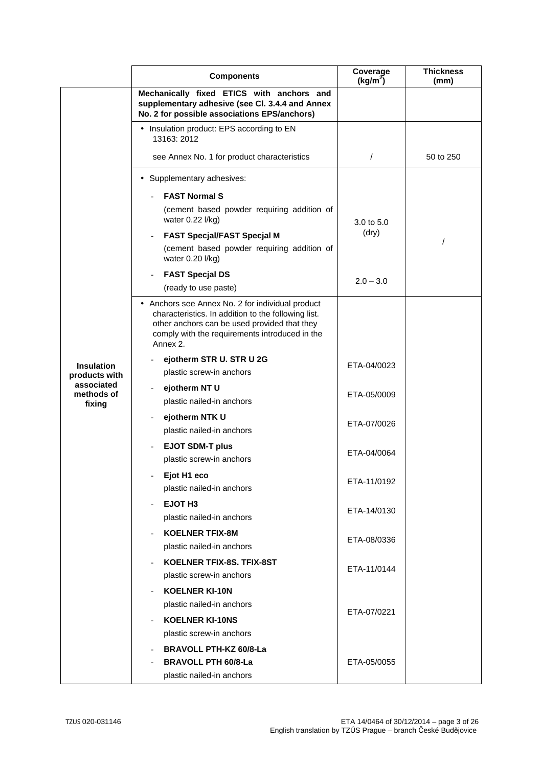|                          | <b>Components</b>                                                                                                                                                                                                     | Coverage<br>(kg/m <sup>2</sup> ) | <b>Thickness</b><br>(mm) |
|--------------------------|-----------------------------------------------------------------------------------------------------------------------------------------------------------------------------------------------------------------------|----------------------------------|--------------------------|
|                          | Mechanically fixed ETICS with anchors and<br>supplementary adhesive (see Cl. 3.4.4 and Annex<br>No. 2 for possible associations EPS/anchors)                                                                          |                                  |                          |
|                          | • Insulation product: EPS according to EN<br>13163: 2012                                                                                                                                                              |                                  |                          |
|                          | see Annex No. 1 for product characteristics                                                                                                                                                                           | $\prime$                         | 50 to 250                |
|                          | • Supplementary adhesives:                                                                                                                                                                                            |                                  |                          |
|                          | <b>FAST Normal S</b>                                                                                                                                                                                                  |                                  |                          |
|                          | (cement based powder requiring addition of<br>water 0.22 l/kg)                                                                                                                                                        | 3.0 to 5.0                       |                          |
|                          | <b>FAST Specjal/FAST Specjal M</b>                                                                                                                                                                                    | (dry)                            |                          |
|                          | (cement based powder requiring addition of<br>water 0.20 l/kg)                                                                                                                                                        |                                  |                          |
|                          | <b>FAST Specjal DS</b>                                                                                                                                                                                                | $2.0 - 3.0$                      |                          |
|                          | (ready to use paste)                                                                                                                                                                                                  |                                  |                          |
|                          | • Anchors see Annex No. 2 for individual product<br>characteristics. In addition to the following list.<br>other anchors can be used provided that they<br>comply with the requirements introduced in the<br>Annex 2. |                                  |                          |
| <b>Insulation</b>        | ejotherm STR U. STR U 2G                                                                                                                                                                                              | ETA-04/0023                      |                          |
| products with            | plastic screw-in anchors                                                                                                                                                                                              |                                  |                          |
| associated<br>methods of | ejotherm NT U                                                                                                                                                                                                         | ETA-05/0009                      |                          |
| fixing                   | plastic nailed-in anchors                                                                                                                                                                                             |                                  |                          |
|                          | ejotherm NTK U<br>plastic nailed-in anchors                                                                                                                                                                           | ETA-07/0026                      |                          |
|                          | <b>EJOT SDM-T plus</b><br>plastic screw-in anchors                                                                                                                                                                    | ETA-04/0064                      |                          |
|                          | Ejot H1 eco<br>plastic nailed-in anchors                                                                                                                                                                              | ETA-11/0192                      |                          |
|                          | EJOT H <sub>3</sub><br>plastic nailed-in anchors                                                                                                                                                                      | ETA-14/0130                      |                          |
|                          | <b>KOELNER TFIX-8M</b><br>plastic nailed-in anchors                                                                                                                                                                   | ETA-08/0336                      |                          |
|                          | KOELNER TFIX-8S, TFIX-8ST<br>plastic screw-in anchors                                                                                                                                                                 | ETA-11/0144                      |                          |
|                          | <b>KOELNER KI-10N</b><br>plastic nailed-in anchors<br><b>KOELNER KI-10NS</b>                                                                                                                                          | ETA-07/0221                      |                          |
|                          | plastic screw-in anchors<br><b>BRAVOLL PTH-KZ 60/8-La</b><br><b>BRAVOLL PTH 60/8-La</b><br>plastic nailed-in anchors                                                                                                  | ETA-05/0055                      |                          |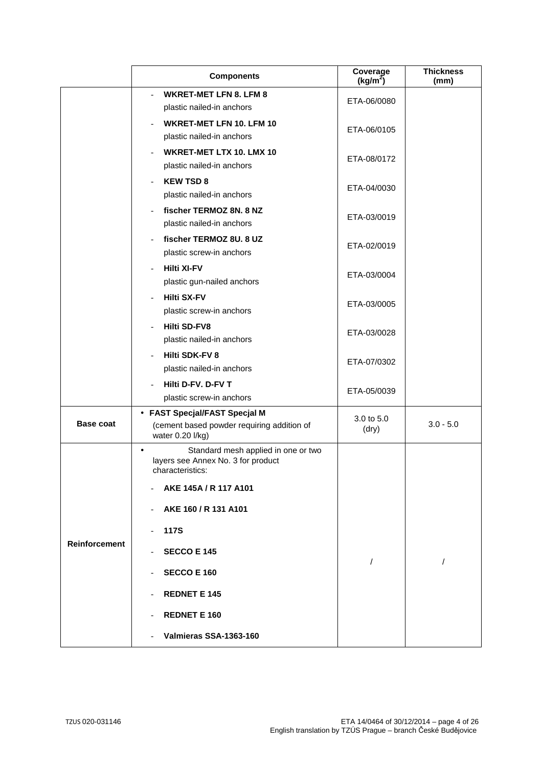|                      | <b>Components</b>                                                                                          | Coverage<br>(kg/m <sup>2</sup> ) | <b>Thickness</b><br>(mm) |
|----------------------|------------------------------------------------------------------------------------------------------------|----------------------------------|--------------------------|
|                      | <b>WKRET-MET LFN 8. LFM 8</b><br>plastic nailed-in anchors                                                 | ETA-06/0080                      |                          |
|                      | <b>WKRET-MET LFN 10, LFM 10</b><br>plastic nailed-in anchors                                               | ETA-06/0105                      |                          |
|                      | WKRET-MET LTX 10. LMX 10<br>plastic nailed-in anchors                                                      | ETA-08/0172                      |                          |
|                      | <b>KEW TSD 8</b><br>plastic nailed-in anchors                                                              | ETA-04/0030                      |                          |
|                      | fischer TERMOZ 8N. 8 NZ<br>plastic nailed-in anchors                                                       | ETA-03/0019                      |                          |
|                      | fischer TERMOZ 8U. 8 UZ<br>plastic screw-in anchors                                                        | ETA-02/0019                      |                          |
|                      | <b>Hilti XI-FV</b><br>plastic gun-nailed anchors                                                           | ETA-03/0004                      |                          |
|                      | <b>Hilti SX-FV</b><br>plastic screw-in anchors                                                             | ETA-03/0005                      |                          |
|                      | <b>Hilti SD-FV8</b><br>plastic nailed-in anchors                                                           | ETA-03/0028                      |                          |
|                      | <b>Hilti SDK-FV 8</b><br>plastic nailed-in anchors                                                         | ETA-07/0302                      |                          |
|                      | Hilti D-FV, D-FV T<br>plastic screw-in anchors                                                             | ETA-05/0039                      |                          |
| <b>Base coat</b>     | • FAST Specjal/FAST Specjal M<br>(cement based powder requiring addition of<br>water 0.20 l/kg)            | 3.0 to 5.0<br>(dry)              | $3.0 - 5.0$              |
|                      | Standard mesh applied in one or two<br>$\bullet$<br>layers see Annex No. 3 for product<br>characteristics: |                                  |                          |
|                      | AKE 145A / R 117 A101                                                                                      |                                  |                          |
|                      | AKE 160 / R 131 A101<br>$\overline{\phantom{a}}$                                                           |                                  |                          |
| <b>Reinforcement</b> | <b>117S</b>                                                                                                |                                  |                          |
|                      | <b>SECCO E 145</b><br><b>SECCO E 160</b>                                                                   | $\prime$                         | $\prime$                 |
|                      | <b>REDNET E 145</b>                                                                                        |                                  |                          |
|                      | <b>REDNET E 160</b>                                                                                        |                                  |                          |
|                      | Valmieras SSA-1363-160                                                                                     |                                  |                          |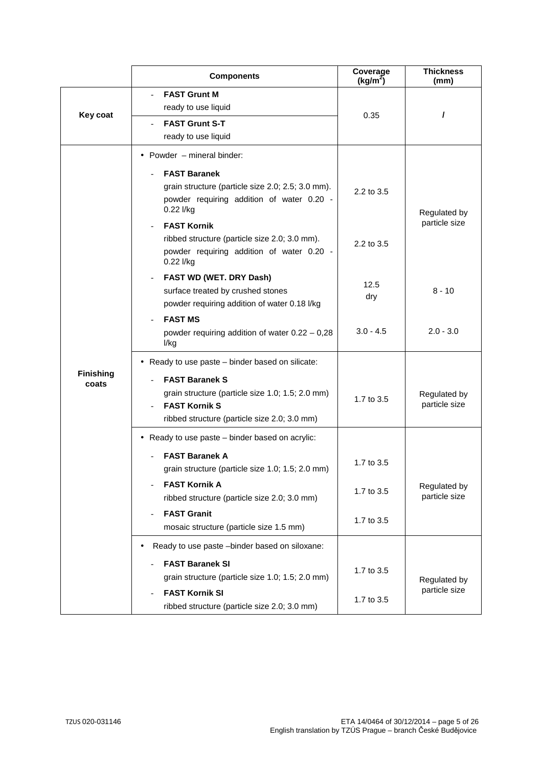|                           | <b>Components</b>                                                                                                                                                                                                                                                                                   | Coverage<br>$(kg/m^2)$   | <b>Thickness</b><br>(mm)      |
|---------------------------|-----------------------------------------------------------------------------------------------------------------------------------------------------------------------------------------------------------------------------------------------------------------------------------------------------|--------------------------|-------------------------------|
| Key coat                  | <b>FAST Grunt M</b><br>ready to use liquid<br><b>FAST Grunt S-T</b><br>ready to use liquid                                                                                                                                                                                                          | 0.35                     | 1                             |
|                           | • Powder $-$ mineral binder:<br><b>FAST Baranek</b><br>grain structure (particle size 2.0; 2.5; 3.0 mm).<br>powder requiring addition of water 0.20 -<br>0.22 l/kg<br><b>FAST Kornik</b><br>ribbed structure (particle size 2.0; 3.0 mm).<br>powder requiring addition of water 0.20 -<br>0.22 l/kg | 2.2 to 3.5<br>2.2 to 3.5 | Regulated by<br>particle size |
|                           | FAST WD (WET. DRY Dash)<br>surface treated by crushed stones<br>powder requiring addition of water 0.18 l/kg                                                                                                                                                                                        | 12.5<br>dry              | 8 - 10                        |
| <b>Finishing</b><br>coats | <b>FAST MS</b><br>powder requiring addition of water $0.22 - 0.28$<br>l/kg                                                                                                                                                                                                                          | $3.0 - 4.5$              | $2.0 - 3.0$                   |
|                           | • Ready to use paste – binder based on silicate:<br><b>FAST Baranek S</b><br>grain structure (particle size 1.0; 1.5; 2.0 mm)<br><b>FAST Kornik S</b><br>ribbed structure (particle size 2.0; 3.0 mm)                                                                                               | 1.7 to 3.5               | Regulated by<br>particle size |
|                           | • Ready to use paste - binder based on acrylic:<br>FAST Baranek A                                                                                                                                                                                                                                   | 1.7 to 3.5               |                               |
|                           | grain structure (particle size 1.0; 1.5; 2.0 mm)<br><b>FAST Kornik A</b><br>ribbed structure (particle size 2.0; 3.0 mm)<br><b>FAST Granit</b>                                                                                                                                                      | 1.7 to 3.5               | Regulated by<br>particle size |
|                           | mosaic structure (particle size 1.5 mm)<br>Ready to use paste -binder based on siloxane:                                                                                                                                                                                                            | 1.7 to 3.5               |                               |
|                           | <b>FAST Baranek SI</b><br>grain structure (particle size 1.0; 1.5; 2.0 mm)<br><b>FAST Kornik SI</b><br>ribbed structure (particle size 2.0; 3.0 mm)                                                                                                                                                 | 1.7 to 3.5<br>1.7 to 3.5 | Regulated by<br>particle size |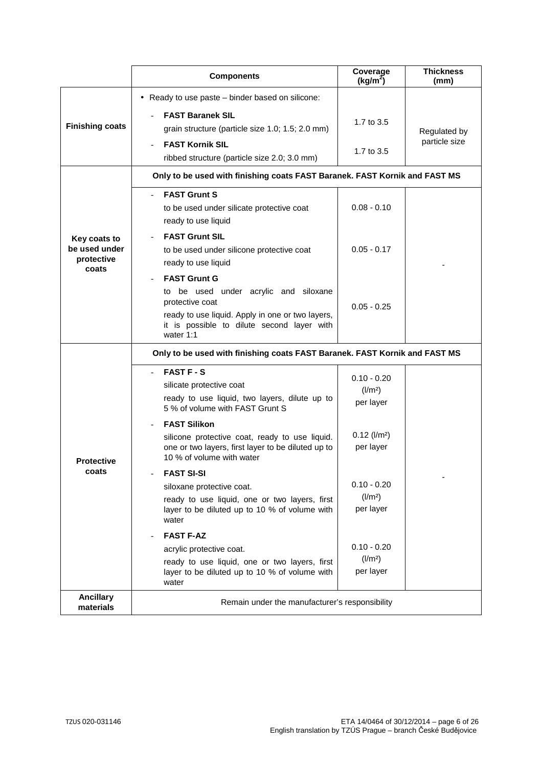|                                             | <b>Components</b>                                                                                                                                                                              | Coverage<br>(kg/m <sup>2</sup> )            | <b>Thickness</b><br>(mm)      |
|---------------------------------------------|------------------------------------------------------------------------------------------------------------------------------------------------------------------------------------------------|---------------------------------------------|-------------------------------|
|                                             | • Ready to use paste – binder based on silicone:                                                                                                                                               |                                             |                               |
| <b>Finishing coats</b>                      | <b>FAST Baranek SIL</b><br>grain structure (particle size 1.0; 1.5; 2.0 mm)<br><b>FAST Kornik SIL</b>                                                                                          | 1.7 to 3.5<br>1.7 to 3.5                    | Regulated by<br>particle size |
|                                             | ribbed structure (particle size 2.0; 3.0 mm)                                                                                                                                                   |                                             |                               |
|                                             | Only to be used with finishing coats FAST Baranek. FAST Kornik and FAST MS                                                                                                                     |                                             |                               |
|                                             | <b>FAST Grunt S</b><br>to be used under silicate protective coat<br>ready to use liquid                                                                                                        | $0.08 - 0.10$                               |                               |
| Key coats to<br>be used under<br>protective | <b>FAST Grunt SIL</b><br>to be used under silicone protective coat<br>ready to use liquid                                                                                                      | $0.05 - 0.17$                               |                               |
| coats                                       | <b>FAST Grunt G</b><br>to be used under acrylic and siloxane<br>protective coat<br>ready to use liquid. Apply in one or two layers,<br>it is possible to dilute second layer with<br>water 1:1 | $0.05 - 0.25$                               |                               |
|                                             | Only to be used with finishing coats FAST Baranek. FAST Kornik and FAST MS                                                                                                                     |                                             |                               |
| <b>Protective</b><br>coats                  | <b>FAST F - S</b><br>silicate protective coat<br>ready to use liquid, two layers, dilute up to<br>5 % of volume with FAST Grunt S                                                              | $0.10 - 0.20$<br>$\frac{1}{2}$<br>per layer |                               |
|                                             | <b>FAST Silikon</b><br>silicone protective coat, ready to use liquid.<br>one or two layers, first layer to be diluted up to<br>10 % of volume with water                                       | $0.12$ ( $l/m2$ )<br>per layer              |                               |
|                                             | <b>FAST SI-SI</b><br>siloxane protective coat.<br>ready to use liquid, one or two layers, first<br>layer to be diluted up to 10 % of volume with<br>water                                      | $0.10 - 0.20$<br>$\frac{1}{2}$<br>per layer |                               |
|                                             | <b>FAST F-AZ</b>                                                                                                                                                                               |                                             |                               |
|                                             | acrylic protective coat.<br>ready to use liquid, one or two layers, first<br>layer to be diluted up to 10 % of volume with                                                                     | $0.10 - 0.20$<br>$\frac{1}{2}$<br>per layer |                               |
| <b>Ancillary</b><br>materials               | water<br>Remain under the manufacturer's responsibility                                                                                                                                        |                                             |                               |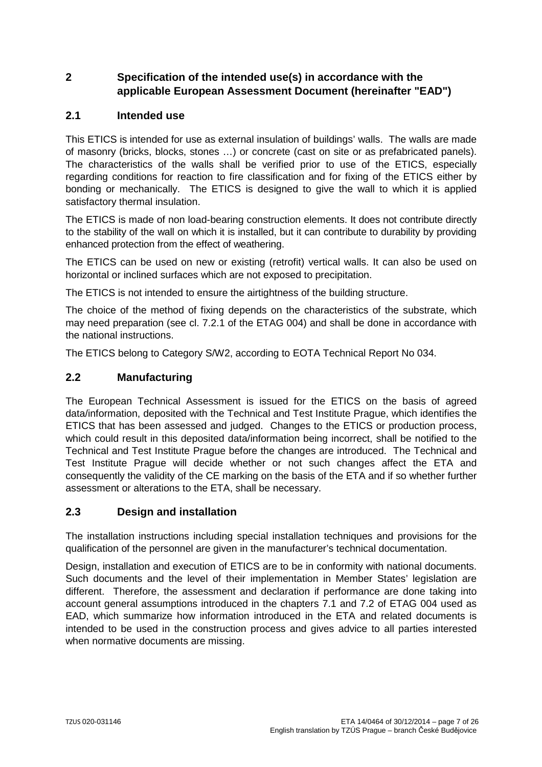## **2 Specification of the intended use(s) in accordance with the applicable European Assessment Document (hereinafter "EAD")**

#### **2.1 Intended use**

This ETICS is intended for use as external insulation of buildings' walls. The walls are made of masonry (bricks, blocks, stones …) or concrete (cast on site or as prefabricated panels). The characteristics of the walls shall be verified prior to use of the ETICS, especially regarding conditions for reaction to fire classification and for fixing of the ETICS either by bonding or mechanically. The ETICS is designed to give the wall to which it is applied satisfactory thermal insulation.

The ETICS is made of non load-bearing construction elements. It does not contribute directly to the stability of the wall on which it is installed, but it can contribute to durability by providing enhanced protection from the effect of weathering.

The ETICS can be used on new or existing (retrofit) vertical walls. It can also be used on horizontal or inclined surfaces which are not exposed to precipitation.

The ETICS is not intended to ensure the airtightness of the building structure.

The choice of the method of fixing depends on the characteristics of the substrate, which may need preparation (see cl. 7.2.1 of the ETAG 004) and shall be done in accordance with the national instructions.

The ETICS belong to Category S/W2, according to EOTA Technical Report No 034.

#### **2.2 Manufacturing**

The European Technical Assessment is issued for the ETICS on the basis of agreed data/information, deposited with the Technical and Test Institute Prague, which identifies the ETICS that has been assessed and judged. Changes to the ETICS or production process, which could result in this deposited data/information being incorrect, shall be notified to the Technical and Test Institute Prague before the changes are introduced. The Technical and Test Institute Prague will decide whether or not such changes affect the ETA and consequently the validity of the CE marking on the basis of the ETA and if so whether further assessment or alterations to the ETA, shall be necessary.

#### **2.3 Design and installation**

The installation instructions including special installation techniques and provisions for the qualification of the personnel are given in the manufacturer's technical documentation.

Design, installation and execution of ETICS are to be in conformity with national documents. Such documents and the level of their implementation in Member States' legislation are different. Therefore, the assessment and declaration if performance are done taking into account general assumptions introduced in the chapters 7.1 and 7.2 of ETAG 004 used as EAD, which summarize how information introduced in the ETA and related documents is intended to be used in the construction process and gives advice to all parties interested when normative documents are missing.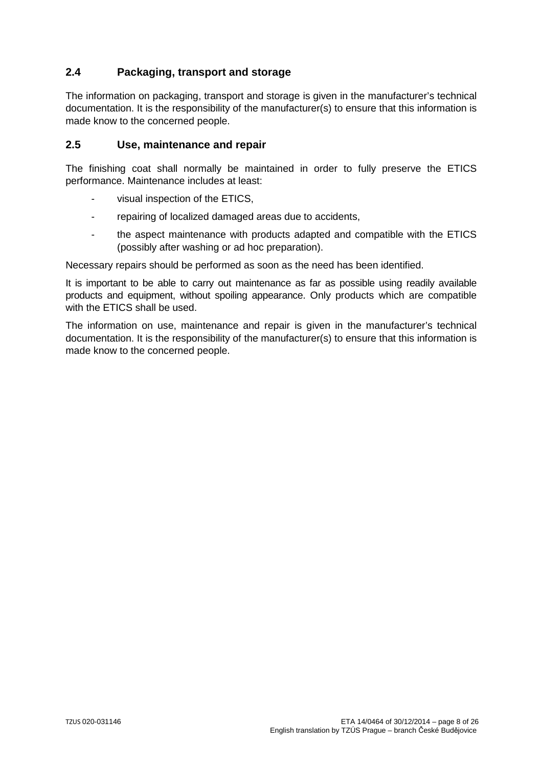## **2.4 Packaging, transport and storage**

The information on packaging, transport and storage is given in the manufacturer's technical documentation. It is the responsibility of the manufacturer(s) to ensure that this information is made know to the concerned people.

#### **2.5 Use, maintenance and repair**

The finishing coat shall normally be maintained in order to fully preserve the ETICS performance. Maintenance includes at least:

- visual inspection of the ETICS.
- repairing of localized damaged areas due to accidents,
- the aspect maintenance with products adapted and compatible with the ETICS (possibly after washing or ad hoc preparation).

Necessary repairs should be performed as soon as the need has been identified.

It is important to be able to carry out maintenance as far as possible using readily available products and equipment, without spoiling appearance. Only products which are compatible with the ETICS shall be used.

The information on use, maintenance and repair is given in the manufacturer's technical documentation. It is the responsibility of the manufacturer(s) to ensure that this information is made know to the concerned people.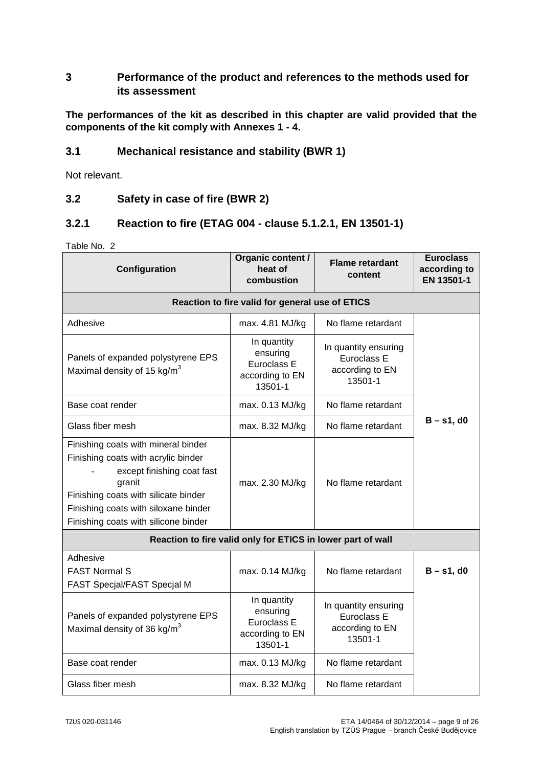#### **3 Performance of the product and references to the methods used for its assessment**

**The performances of the kit as described in this chapter are valid provided that the components of the kit comply with Annexes 1 - 4.** 

#### **3.1 Mechanical resistance and stability (BWR 1)**

Not relevant.

#### **3.2 Safety in case of fire (BWR 2)**

#### **3.2.1 Reaction to fire (ETAG 004 - clause 5.1.2.1, EN 13501-1)**

| Configuration                                                                                                                                                                                                                              | Organic content /<br>heat of<br>combustion                           | <b>Flame retardant</b><br>content                                 | <b>Euroclass</b><br>according to<br>EN 13501-1 |
|--------------------------------------------------------------------------------------------------------------------------------------------------------------------------------------------------------------------------------------------|----------------------------------------------------------------------|-------------------------------------------------------------------|------------------------------------------------|
|                                                                                                                                                                                                                                            | Reaction to fire valid for general use of ETICS                      |                                                                   |                                                |
| Adhesive                                                                                                                                                                                                                                   | max. 4.81 MJ/kg                                                      | No flame retardant                                                |                                                |
| Panels of expanded polystyrene EPS<br>Maximal density of 15 $kg/m3$                                                                                                                                                                        | In quantity<br>ensuring<br>Euroclass E<br>according to EN<br>13501-1 | In quantity ensuring<br>Euroclass E<br>according to EN<br>13501-1 |                                                |
| Base coat render                                                                                                                                                                                                                           | max. 0.13 MJ/kg                                                      | No flame retardant                                                |                                                |
| Glass fiber mesh                                                                                                                                                                                                                           | max. 8.32 MJ/kg                                                      | No flame retardant                                                | $B - s1$ , d0                                  |
| Finishing coats with mineral binder<br>Finishing coats with acrylic binder<br>except finishing coat fast<br>granit<br>Finishing coats with silicate binder<br>Finishing coats with siloxane binder<br>Finishing coats with silicone binder | max. 2.30 MJ/kg                                                      | No flame retardant                                                |                                                |
|                                                                                                                                                                                                                                            | Reaction to fire valid only for ETICS in lower part of wall          |                                                                   |                                                |
| Adhesive<br><b>FAST Normal S</b><br>FAST Specjal/FAST Specjal M                                                                                                                                                                            | max. 0.14 MJ/kg                                                      | No flame retardant                                                | $B - s1$ , d0                                  |
| Panels of expanded polystyrene EPS<br>Maximal density of 36 kg/m <sup>3</sup>                                                                                                                                                              | In quantity<br>ensuring<br>Euroclass E<br>according to EN<br>13501-1 | In quantity ensuring<br>Euroclass E<br>according to EN<br>13501-1 |                                                |
| Base coat render                                                                                                                                                                                                                           | max. 0.13 MJ/kg                                                      | No flame retardant                                                |                                                |
| Glass fiber mesh                                                                                                                                                                                                                           | max. 8.32 MJ/kg                                                      | No flame retardant                                                |                                                |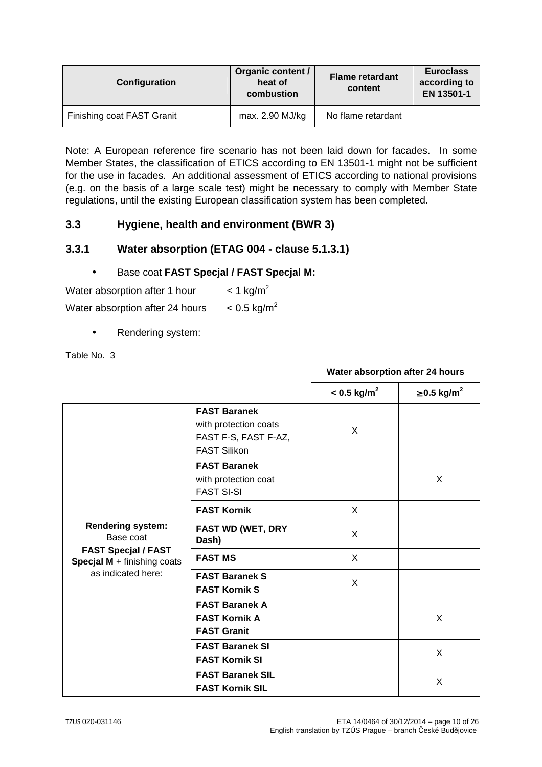| Configuration              | Organic content /<br>heat of<br>combustion | <b>Flame retardant</b><br>content | <b>Euroclass</b><br>according to<br>EN 13501-1 |
|----------------------------|--------------------------------------------|-----------------------------------|------------------------------------------------|
| Finishing coat FAST Granit | max. 2.90 MJ/kg                            | No flame retardant                |                                                |

Note: A European reference fire scenario has not been laid down for facades. In some Member States, the classification of ETICS according to EN 13501-1 might not be sufficient for the use in facades. An additional assessment of ETICS according to national provisions (e.g. on the basis of a large scale test) might be necessary to comply with Member State regulations, until the existing European classification system has been completed.

#### **3.3 Hygiene, health and environment (BWR 3)**

#### **3.3.1 Water absorption (ETAG 004 - clause 5.1.3.1)**

#### • Base coat **FAST Specjal / FAST Specjal M:**

Water absorption after 1 hour  $\leq 1$  kg/m<sup>2</sup>

Water absorption after 24 hours  $\leq 0.5 \text{ kg/m}^2$ 

Rendering system:

|                                                           |                                                                                             | Water absorption after 24 hours |                              |
|-----------------------------------------------------------|---------------------------------------------------------------------------------------------|---------------------------------|------------------------------|
|                                                           |                                                                                             | $< 0.5$ kg/m <sup>2</sup>       | $\geq$ 0.5 kg/m <sup>2</sup> |
|                                                           | <b>FAST Baranek</b><br>with protection coats<br>FAST F-S, FAST F-AZ,<br><b>FAST Silikon</b> | X                               |                              |
|                                                           | <b>FAST Baranek</b><br>with protection coat<br><b>FAST SI-SI</b>                            |                                 | X                            |
|                                                           | <b>FAST Kornik</b>                                                                          | X                               |                              |
| <b>Rendering system:</b><br>Base coat                     | <b>FAST WD (WET, DRY</b><br>Dash)                                                           | X                               |                              |
| <b>FAST Specjal / FAST</b><br>Specjal M + finishing coats | <b>FAST MS</b>                                                                              | X                               |                              |
| as indicated here:                                        | <b>FAST Baranek S</b><br><b>FAST Kornik S</b>                                               | X                               |                              |
|                                                           | <b>FAST Baranek A</b><br><b>FAST Kornik A</b><br><b>FAST Granit</b>                         |                                 | X                            |
|                                                           | <b>FAST Baranek SI</b><br><b>FAST Kornik SI</b>                                             |                                 | X                            |
|                                                           | <b>FAST Baranek SIL</b><br><b>FAST Kornik SIL</b>                                           |                                 | X                            |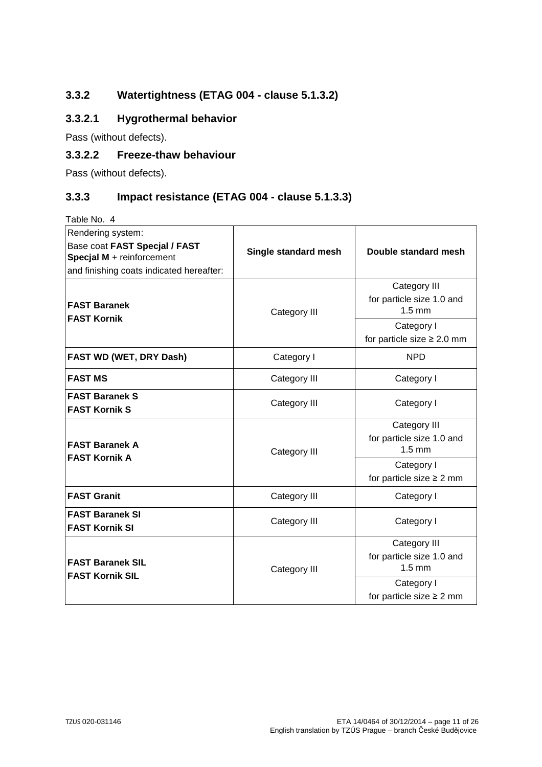# **3.3.2 Watertightness (ETAG 004 - clause 5.1.3.2)**

## **3.3.2.1 Hygrothermal behavior**

Pass (without defects).

#### **3.3.2.2 Freeze-thaw behaviour**

Pass (without defects).

## **3.3.3 Impact resistance (ETAG 004 - clause 5.1.3.3)**

| Rendering system:<br>Base coat FAST Specjal / FAST<br>Specjal M + reinforcement<br>and finishing coats indicated hereafter: | Single standard mesh | Double standard mesh                                                                                           |
|-----------------------------------------------------------------------------------------------------------------------------|----------------------|----------------------------------------------------------------------------------------------------------------|
| <b>FAST Baranek</b><br><b>FAST Kornik</b>                                                                                   | Category III         | Category III<br>for particle size 1.0 and<br>$1.5 \text{ mm}$<br>Category I<br>for particle size $\geq 2.0$ mm |
| FAST WD (WET, DRY Dash)                                                                                                     | Category I           | <b>NPD</b>                                                                                                     |
| <b>FAST MS</b>                                                                                                              | Category III         | Category I                                                                                                     |
| <b>FAST Baranek S</b><br><b>FAST Kornik S</b>                                                                               | Category III         | Category I                                                                                                     |
| <b>FAST Baranek A</b><br><b>FAST Kornik A</b>                                                                               | Category III         | Category III<br>for particle size 1.0 and<br>$1.5 \text{ mm}$<br>Category I                                    |
|                                                                                                                             |                      | for particle size $\geq 2$ mm                                                                                  |
| <b>FAST Granit</b>                                                                                                          | Category III         | Category I                                                                                                     |
| <b>FAST Baranek SI</b><br><b>FAST Kornik SI</b>                                                                             | Category III         | Category I                                                                                                     |
| <b>FAST Baranek SIL</b><br><b>FAST Kornik SIL</b>                                                                           | Category III         | Category III<br>for particle size 1.0 and<br>$1.5 \text{ mm}$                                                  |
|                                                                                                                             |                      | Category I<br>for particle size $\geq 2$ mm                                                                    |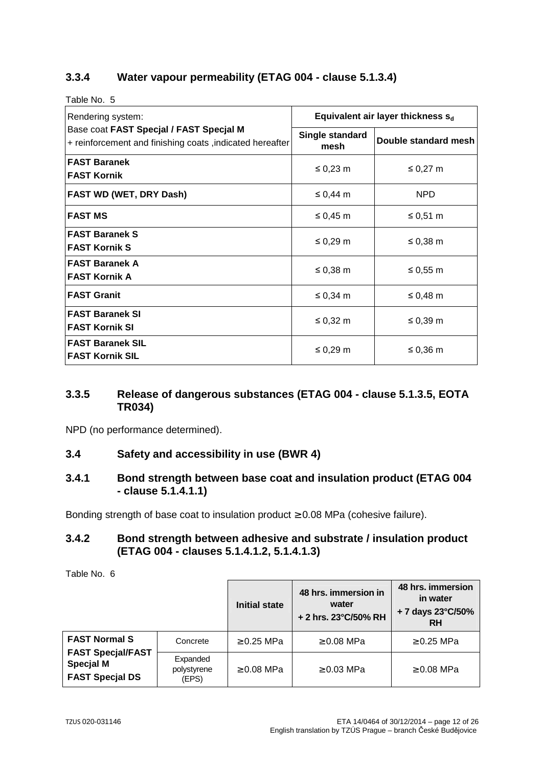## **3.3.4 Water vapour permeability (ETAG 004 - clause 5.1.3.4)**

Table No. 5

| Rendering system:                                                                                   | Equivalent air layer thickness $s_d$ |                      |
|-----------------------------------------------------------------------------------------------------|--------------------------------------|----------------------|
| Base coat FAST Specjal / FAST Specjal M<br>+ reinforcement and finishing coats, indicated hereafter | Single standard<br>mesh              | Double standard mesh |
| <b>FAST Baranek</b><br><b>FAST Kornik</b>                                                           | $\leq 0.23$ m                        | $\leq 0.27$ m        |
| FAST WD (WET, DRY Dash)                                                                             | $\leq 0,44$ m                        | <b>NPD</b>           |
| <b>FAST MS</b>                                                                                      | ≤ 0,45 $m$                           | ≤ 0,51 m             |
| <b>FAST Baranek S</b><br><b>FAST Kornik S</b>                                                       | ≤ 0,29 $m$                           | ≤ 0,38 $m$           |
| <b>FAST Baranek A</b><br><b>FAST Kornik A</b>                                                       | $\leq 0,38$ m                        | ≤ 0,55 $m$           |
| <b>FAST Granit</b>                                                                                  | $\leq$ 0,34 m                        | ≤ 0,48 $m$           |
| <b>FAST Baranek SI</b><br><b>FAST Kornik SI</b>                                                     | ≤ 0,32 m                             | $\leq 0.39$ m        |
| <b>FAST Baranek SIL</b><br><b>FAST Kornik SIL</b>                                                   | $\leq 0.29$ m                        | ≤ 0,36 $m$           |

#### **3.3.5 Release of dangerous substances (ETAG 004 - clause 5.1.3.5, EOTA TR034)**

NPD (no performance determined).

#### **3.4 Safety and accessibility in use (BWR 4)**

#### **3.4.1 Bond strength between base coat and insulation product (ETAG 004 - clause 5.1.4.1.1)**

Bonding strength of base coat to insulation product  $\geq$  0.08 MPa (cohesive failure).

### **3.4.2 Bond strength between adhesive and substrate / insulation product (ETAG 004 - clauses 5.1.4.1.2, 5.1.4.1.3)**

|                                                                        |                                  | <b>Initial state</b> | 48 hrs. immersion in<br>water<br>+ 2 hrs. 23°C/50% RH | 48 hrs. immersion<br>in water<br>+7 days 23°C/50%<br><b>RH</b> |
|------------------------------------------------------------------------|----------------------------------|----------------------|-------------------------------------------------------|----------------------------------------------------------------|
| <b>FAST Normal S</b>                                                   | Concrete                         | $\geq$ 0.25 MPa      | $\geq 0.08$ MPa                                       | $\geq$ 0.25 MPa                                                |
| <b>FAST Specjal/FAST</b><br><b>Specjal M</b><br><b>FAST Specjal DS</b> | Expanded<br>polystyrene<br>(EPS) | $\geq 0.08$ MPa      | $\geq 0.03$ MPa                                       | $\geq 0.08$ MPa                                                |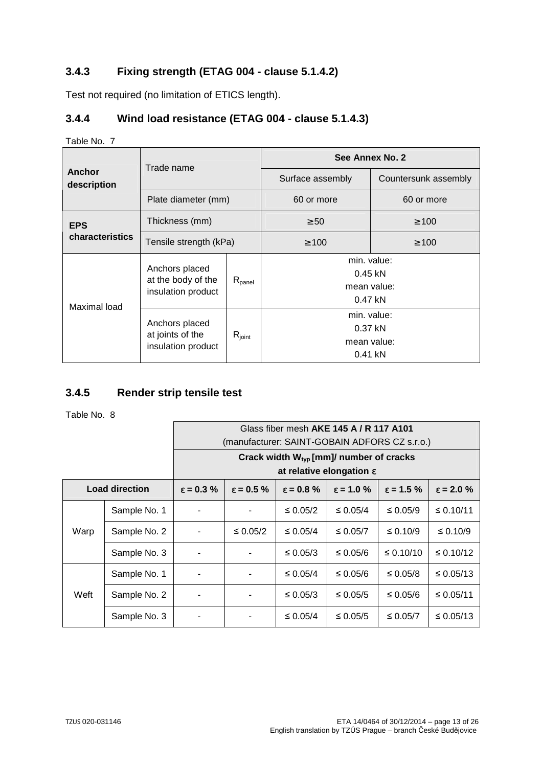# **3.4.3 Fixing strength (ETAG 004 - clause 5.1.4.2)**

Test not required (no limitation of ETICS length).

## **3.4.4 Wind load resistance (ETAG 004 - clause 5.1.4.3)**

#### Table No. 7

|                       | Trade name                                                 |                 | See Annex No. 2                                      |                                                      |  |  |
|-----------------------|------------------------------------------------------------|-----------------|------------------------------------------------------|------------------------------------------------------|--|--|
| Anchor<br>description |                                                            |                 | Surface assembly                                     | Countersunk assembly                                 |  |  |
|                       | Plate diameter (mm)                                        |                 | 60 or more                                           | 60 or more                                           |  |  |
| <b>EPS</b>            | Thickness (mm)                                             | $\geq 50$       | $\geq 100$                                           |                                                      |  |  |
| characteristics       | Tensile strength (kPa)                                     |                 | $\geq 100$                                           | $\geq 100$                                           |  |  |
| Maximal load          | Anchors placed<br>at the body of the<br>insulation product | $R_{\sf panel}$ | min. value:<br>$0.45$ kN<br>mean value:<br>$0.47$ kN |                                                      |  |  |
|                       | Anchors placed<br>at joints of the<br>insulation product   | $R_{joint}$     |                                                      | min. value:<br>$0.37$ kN<br>mean value:<br>$0.41$ kN |  |  |

## **3.4.5 Render strip tensile test**

|      |                                                                                                                                          | Glass fiber mesh AKE 145 A / R 117 A101<br>(manufacturer: SAINT-GOBAIN ADFORS CZ s.r.o.) |          |                                                                                             |               |                     |                |  |
|------|------------------------------------------------------------------------------------------------------------------------------------------|------------------------------------------------------------------------------------------|----------|---------------------------------------------------------------------------------------------|---------------|---------------------|----------------|--|
|      |                                                                                                                                          |                                                                                          |          | Crack width $W_{\text{two}}$ [mm]/ number of cracks<br>at relative elongation $\varepsilon$ |               |                     |                |  |
|      | <b>Load direction</b><br>$\epsilon = 1.0 \%$<br>$\epsilon = 0.5 \%$<br>$\epsilon = 0.8 \%$<br>$\epsilon = 0.3 \%$<br>$\epsilon = 1.5 \%$ |                                                                                          |          |                                                                                             |               | $\epsilon = 2.0 \%$ |                |  |
| Warp | Sample No. 1                                                                                                                             | -                                                                                        |          | $\leq 0.05/2$                                                                               | $\leq 0.05/4$ | $\leq 0.05/9$       | $\leq 0.10/11$ |  |
|      | Sample No. 2                                                                                                                             | -                                                                                        | ≤ 0.05/2 | $\leq 0.05/4$                                                                               | ≤ 0.05/7      | $\leq 0.10/9$       | ≤ 0.10/9       |  |
|      | Sample No. 3                                                                                                                             |                                                                                          |          | ≤ 0.05/3                                                                                    | ≤ 0.05/6      | $\leq 0.10/10$      | $\leq 0.10/12$ |  |
| Weft | Sample No. 1                                                                                                                             | ۰                                                                                        |          | $\leq 0.05/4$                                                                               | ≤ 0.05/6      | ≤ 0.05/8            | $\leq 0.05/13$ |  |
|      | Sample No. 2                                                                                                                             | -                                                                                        |          | ≤ 0.05/3                                                                                    | $\leq 0.05/5$ | ≤ 0.05/6            | ≤ 0.05/11      |  |
|      | Sample No. 3                                                                                                                             | ۰                                                                                        |          | $\leq 0.05/4$                                                                               | $\leq 0.05/5$ | ≤ 0.05/7            | ≤ 0.05/13      |  |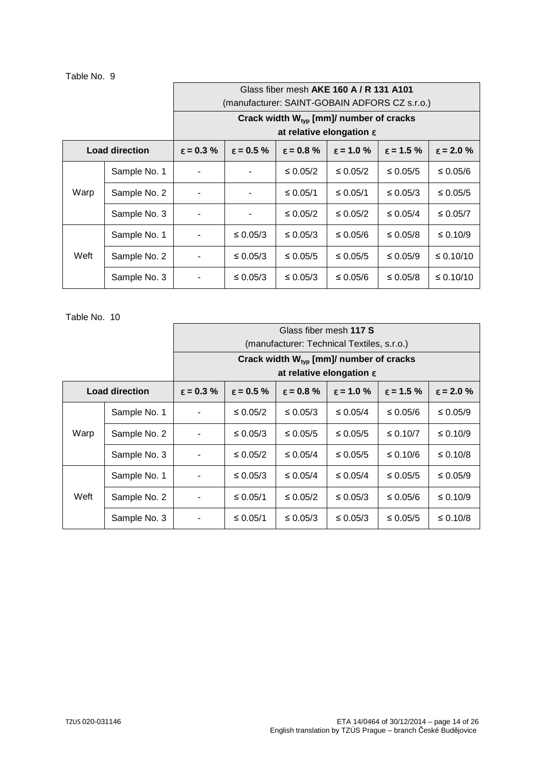#### Table No. 9

|      |                       |                                                                                                                   | Glass fiber mesh AKE 160 A / R 131 A101 |                                                     |               |               |                     |
|------|-----------------------|-------------------------------------------------------------------------------------------------------------------|-----------------------------------------|-----------------------------------------------------|---------------|---------------|---------------------|
|      |                       |                                                                                                                   |                                         | (manufacturer: SAINT-GOBAIN ADFORS CZ s.r.o.)       |               |               |                     |
|      |                       |                                                                                                                   |                                         | Crack width $W_{\text{typ}}$ [mm]/ number of cracks |               |               |                     |
|      |                       |                                                                                                                   |                                         | at relative elongation $\varepsilon$                |               |               |                     |
|      | <b>Load direction</b> | $\varepsilon = 0.5 \%$<br>$\epsilon = 0.8 \%$<br>$\epsilon = 1.0 \%$<br>$\epsilon$ = 1.5 %<br>$\epsilon = 0.3 \%$ |                                         |                                                     |               |               | $\epsilon = 2.0 \%$ |
| Warp | Sample No. 1          | -                                                                                                                 |                                         | ≤ 0.05/2                                            | $\leq 0.05/2$ | $\leq 0.05/5$ | ≤ 0.05/6            |
|      | Sample No. 2          | -                                                                                                                 |                                         | ≤ 0.05/1                                            | ≤ 0.05/1      | $\leq 0.05/3$ | $\leq 0.05/5$       |
|      | Sample No. 3          | ۰                                                                                                                 |                                         | ≤ 0.05/2                                            | $\leq 0.05/2$ | $\leq 0.05/4$ | ≤ 0.05/7            |
| Weft | Sample No. 1          | ۰                                                                                                                 | ≤ 0.05/3                                | $\leq 0.05/3$                                       | ≤ 0.05/6      | ≤ 0.05/8      | $\leq 0.10/9$       |
|      | Sample No. 2          |                                                                                                                   | ≤ 0.05/3                                | ≤ 0.05/5                                            | ≤ 0.05/5      | $\leq 0.05/9$ | $\leq 0.10/10$      |
|      | Sample No. 3          | $\overline{\phantom{a}}$                                                                                          | ≤ 0.05/3                                | ≤ 0.05/3                                            | ≤ 0.05/6      | ≤ 0.05/8      | $\leq 0.10/10$      |

|      |                       |                                                                                                                   | Glass fiber mesh 117 S |                                                     |               |               |                     |  |
|------|-----------------------|-------------------------------------------------------------------------------------------------------------------|------------------------|-----------------------------------------------------|---------------|---------------|---------------------|--|
|      |                       |                                                                                                                   |                        | (manufacturer: Technical Textiles, s.r.o.)          |               |               |                     |  |
|      |                       |                                                                                                                   |                        | Crack width W <sub>typ</sub> [mm]/ number of cracks |               |               |                     |  |
|      |                       |                                                                                                                   |                        | at relative elongation $\varepsilon$                |               |               |                     |  |
|      | <b>Load direction</b> | $\varepsilon = 0.5 \%$<br>$\epsilon = 0.8 \%$<br>$\epsilon$ = 1.0 %<br>$\epsilon = 1.5 \%$<br>$\epsilon = 0.3 \%$ |                        |                                                     |               |               | $\epsilon = 2.0 \%$ |  |
|      | Sample No. 1          | $\blacksquare$                                                                                                    | $\leq 0.05/2$          | $\leq 0.05/3$                                       | $\leq 0.05/4$ | ≤ 0.05/6      | ≤ 0.05/9            |  |
| Warp | Sample No. 2          | $\overline{\phantom{a}}$                                                                                          | $\leq 0.05/3$          | $\leq 0.05/5$                                       | $\leq 0.05/5$ | $\leq 0.10/7$ | $\leq 0.10/9$       |  |
|      | Sample No. 3          | $\overline{\phantom{a}}$                                                                                          | $\leq 0.05/2$          | $\leq 0.05/4$                                       | $\leq 0.05/5$ | ≤ 0.10/6      | $\leq 0.10/8$       |  |
|      | Sample No. 1          | $\blacksquare$                                                                                                    | ≤ 0.05/3               | $\leq 0.05/4$                                       | $\leq 0.05/4$ | ≤ 0.05/5      | ≤ 0.05/9            |  |
| Weft | Sample No. 2          | $\overline{\phantom{a}}$                                                                                          | ≤ 0.05/1               | ≤ 0.05/2                                            | $\leq 0.05/3$ | ≤ 0.05/6      | ≤ 0.10/9            |  |
|      | Sample No. 3          | ۰                                                                                                                 | ≤ 0.05/1               | $\leq 0.05/3$                                       | ≤ 0.05/3      | ≤ 0.05/5      | $\leq 0.10/8$       |  |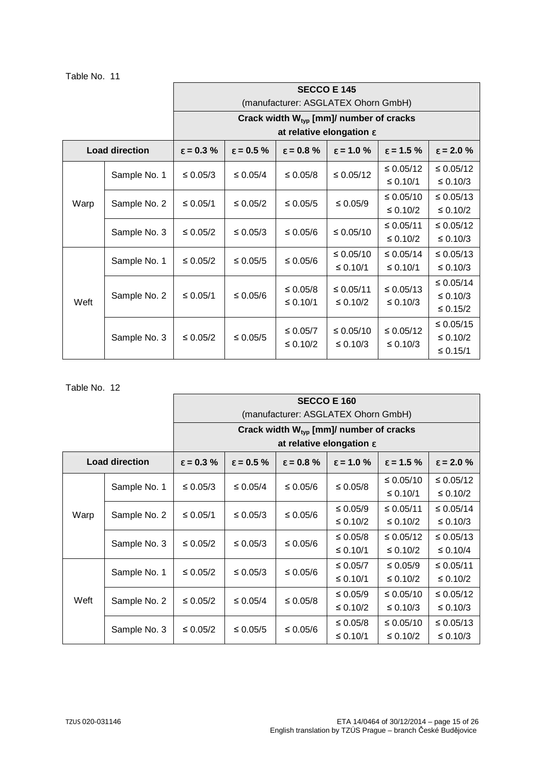|  | Table No. |  | 11 |
|--|-----------|--|----|
|--|-----------|--|----|

|      |                       | <b>SECCO E 145</b>                  |                                                     |                                      |                    |                     |                    |  |  |  |
|------|-----------------------|-------------------------------------|-----------------------------------------------------|--------------------------------------|--------------------|---------------------|--------------------|--|--|--|
|      |                       | (manufacturer: ASGLATEX Ohorn GmbH) |                                                     |                                      |                    |                     |                    |  |  |  |
|      |                       |                                     | Crack width $W_{\text{typ}}$ [mm]/ number of cracks |                                      |                    |                     |                    |  |  |  |
|      |                       |                                     |                                                     | at relative elongation $\varepsilon$ |                    |                     |                    |  |  |  |
|      | <b>Load direction</b> | $\epsilon = 0.3 \%$                 | $\varepsilon = 0.5 \%$                              | $\epsilon = 0.8 \%$                  | $\epsilon$ = 1.0 % | $\epsilon = 1.5 \%$ | $\epsilon$ = 2.0 % |  |  |  |
|      | Sample No. 1          | $\leq 0.05/3$                       | ≤ 0.05/4                                            | ≤ 0.05/8                             | $\leq 0.05/12$     | $\leq 0.05/12$      | ≤ 0.05/12          |  |  |  |
|      |                       |                                     |                                                     |                                      |                    | ≤ 0.10/1            | ≤ 0.10/3           |  |  |  |
| Warp | Sample No. 2          | ≤ 0.05/1                            | $\leq 0.05/2$                                       | ≤ 0.05/5                             | $\leq 0.05/9$      | $\leq 0.05/10$      | $\leq 0.05/13$     |  |  |  |
|      |                       |                                     |                                                     |                                      |                    | $\leq 0.10/2$       | $\leq 0.10/2$      |  |  |  |
|      | Sample No. 3          | $\leq 0.05/2$                       | $\leq 0.05/3$                                       | ≤ 0.05/6                             | ≤ 0.05/10          | ≤ $0.05/11$         | ≤ 0.05/12          |  |  |  |
|      |                       |                                     |                                                     |                                      |                    | ≤ 0.10/2            | $\leq 0.10/3$      |  |  |  |
|      | Sample No. 1          | ≤ 0.05/2                            | ≤ 0.05/5                                            | ≤ $0.05/6$                           | $\leq 0.05/10$     | $\leq 0.05/14$      | ≤ $0.05/13$        |  |  |  |
|      |                       |                                     |                                                     |                                      | ≤ 0.10/1           | ≤ 0.10/1            | ≤ 0.10/3           |  |  |  |
|      |                       |                                     |                                                     | ≤ 0.05/8                             | ≤ 0.05/11          | ≤ $0.05/13$         | ≤ 0.05/14          |  |  |  |
| Weft | Sample No. 2          | ≤ 0.05/1                            | ≤ 0.05/6                                            | ≤ 0.10/1                             | ≤ 0.10/2           | ≤ 0.10/3            | ≤ 0.10/3           |  |  |  |
|      |                       |                                     |                                                     |                                      |                    |                     | $\leq 0.15/2$      |  |  |  |
|      |                       |                                     |                                                     | ≤ $0.05/7$                           | $\leq 0.05/10$     | ≤ $0.05/12$         | ≤ $0.05/15$        |  |  |  |
|      | Sample No. 3          | $\leq 0.05/2$                       | ≤ 0.05/5                                            | $\leq 0.10/2$                        | ≤ 0.10/3           | ≤ 0.10/3            | ≤ 0.10/2           |  |  |  |
|      |                       |                                     |                                                     |                                      |                    |                     | ≤ 0.15/1           |  |  |  |

|      |                       | <b>SECCO E 160</b>                                  |                     |                     |                                      |                     |                     |  |  |
|------|-----------------------|-----------------------------------------------------|---------------------|---------------------|--------------------------------------|---------------------|---------------------|--|--|
|      |                       | (manufacturer: ASGLATEX Ohorn GmbH)                 |                     |                     |                                      |                     |                     |  |  |
|      |                       | Crack width $W_{\text{typ}}$ [mm]/ number of cracks |                     |                     |                                      |                     |                     |  |  |
|      |                       |                                                     |                     |                     | at relative elongation $\varepsilon$ |                     |                     |  |  |
|      | <b>Load direction</b> | $\epsilon = 0.3 \%$                                 | $\epsilon = 0.5 \%$ | $\epsilon = 0.8 \%$ | $\epsilon = 1.0 \%$                  | $\epsilon = 1.5 \%$ | $\epsilon = 2.0 \%$ |  |  |
|      | Sample No. 1          | ≤ 0.05/3                                            | $\leq 0.05/4$       | ≤ 0.05/6            | $\leq 0.05/8$                        | ≤ 0.05/10           | $\leq 0.05/12$      |  |  |
|      |                       |                                                     |                     |                     |                                      | ≤ 0.10/1            | $\leq 0.10/2$       |  |  |
| Warp | Sample No. 2          | ≤ 0.05/1                                            | ≤ 0.05/3            | ≤ 0.05/6            | $\leq 0.05/9$                        | ≤ 0.05/11           | ≤ 0.05/14           |  |  |
|      |                       |                                                     |                     |                     | $\leq 0.10/2$                        | ≤ 0.10/2            | ≤ 0.10/3            |  |  |
|      | Sample No. 3          | $\leq 0.05/2$                                       | ≤ 0.05/3            | $\leq 0.05/6$       | ≤ 0.05/8                             | $\leq 0.05/12$      | $\leq 0.05/13$      |  |  |
|      |                       |                                                     |                     |                     | ≤ 0.10/1                             | ≤ 0.10/2            | $\leq 0.10/4$       |  |  |
|      | Sample No. 1          | $\leq 0.05/2$                                       | ≤ 0.05/3            | ≤ 0.05/6            | $\leq 0.05/7$                        | ≤ $0.05/9$          | ≤ 0.05/11           |  |  |
|      |                       |                                                     |                     |                     | ≤ 0.10/1                             | ≤ 0.10/2            | $\leq 0.10/2$       |  |  |
| Weft | Sample No. 2          | $\leq 0.05/2$                                       | $\leq 0.05/4$       | $\leq 0.05/8$       | $\leq 0.05/9$                        | ≤ 0.05/10           | ≤ 0.05/12           |  |  |
|      |                       |                                                     |                     |                     | $\leq 0.10/2$                        | ≤ 0.10/3            | ≤ 0.10/3            |  |  |
|      | Sample No. 3          | $\leq 0.05/2$                                       | ≤ 0.05/5            | ≤ 0.05/6            | $\leq 0.05/8$                        | ≤ 0.05/10           | ≤ 0.05/13           |  |  |
|      |                       |                                                     |                     |                     | ≤ 0.10/1                             | ≤ 0.10/2            | ≤ 0.10/3            |  |  |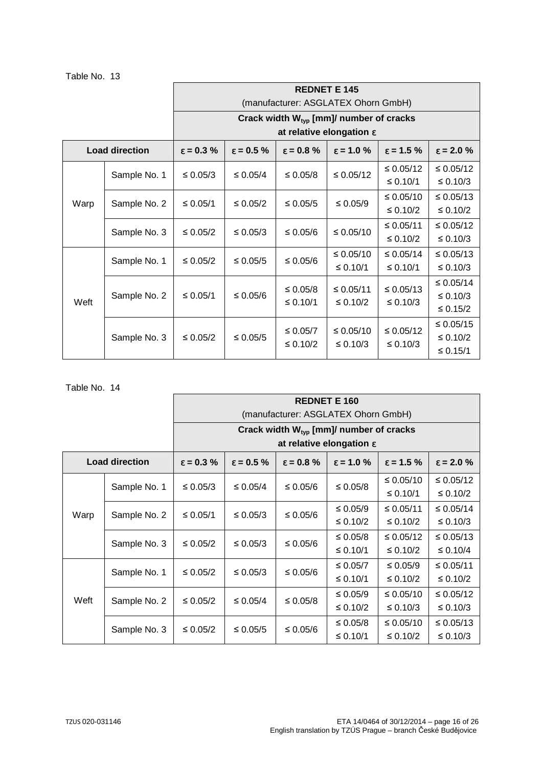| Table No. 13 |  |  |  |  |
|--------------|--|--|--|--|
|--------------|--|--|--|--|

|      |                       | <b>REDNET E 145</b>                                 |                     |                     |                                      |                    |                     |  |  |
|------|-----------------------|-----------------------------------------------------|---------------------|---------------------|--------------------------------------|--------------------|---------------------|--|--|
|      |                       | (manufacturer: ASGLATEX Ohorn GmbH)                 |                     |                     |                                      |                    |                     |  |  |
|      |                       | Crack width $W_{\text{typ}}$ [mm]/ number of cracks |                     |                     |                                      |                    |                     |  |  |
|      |                       |                                                     |                     |                     | at relative elongation $\varepsilon$ |                    |                     |  |  |
|      | <b>Load direction</b> | $\epsilon = 0.3 \%$                                 | $\epsilon = 0.5 \%$ | $\epsilon = 0.8 \%$ | $\epsilon$ = 1.0 %                   | $\epsilon$ = 1.5 % | $\epsilon = 2.0 \%$ |  |  |
|      | Sample No. 1          | ≤ 0.05/3                                            | $\leq 0.05/4$       | ≤ 0.05/8            | ≤ 0.05/12                            | $\leq 0.05/12$     | ≤ 0.05/12           |  |  |
|      |                       |                                                     |                     |                     |                                      | ≤ 0.10/1           | ≤ 0.10/3            |  |  |
| Warp | Sample No. 2          | ≤ 0.05/1                                            | $\leq 0.05/2$       | ≤ 0.05/5            | $\leq 0.05/9$                        | $\leq 0.05/10$     | ≤ $0.05/13$         |  |  |
|      |                       |                                                     |                     |                     |                                      | ≤ 0.10/2           | ≤ 0.10/2            |  |  |
|      | Sample No. 3          | $\leq 0.05/2$                                       | ≤ 0.05/3            | ≤ 0.05/6            | ≤ 0.05/10                            | ≤ 0.05/11          | ≤ 0.05/12           |  |  |
|      |                       |                                                     |                     |                     |                                      | ≤ 0.10/2           | $\leq 0.10/3$       |  |  |
|      | Sample No. 1          | $\leq 0.05/2$                                       | ≤ 0.05/5            | ≤ 0.05/6            | $\leq 0.05/10$                       | $\leq 0.05/14$     | ≤ $0.05/13$         |  |  |
|      |                       |                                                     |                     |                     | ≤ 0.10/1                             | ≤ 0.10/1           | ≤ 0.10/3            |  |  |
|      |                       |                                                     |                     | ≤ 0.05/8            | ≤ 0.05/11                            | ≤ 0.05/13          | ≤ 0.05/14           |  |  |
| Weft | Sample No. 2          | ≤ 0.05/1                                            | ≤ 0.05/6            | ≤ 0.10/1            | $\leq 0.10/2$                        | ≤ 0.10/3           | ≤ 0.10/3            |  |  |
|      |                       |                                                     |                     |                     |                                      |                    | ≤ 0.15/2            |  |  |
|      |                       |                                                     |                     | ≤ 0.05/7            | ≤ 0.05/10                            | $\leq 0.05/12$     | ≤ $0.05/15$         |  |  |
|      | Sample No. 3          | $\leq 0.05/2$                                       | ≤ 0.05/5            | ≤ 0.10/2            | $\leq 0.10/3$                        | ≤ 0.10/3           | $\leq 0.10/2$       |  |  |
|      |                       |                                                     |                     |                     |                                      |                    | ≤ 0.15/1            |  |  |

|      |                       | <b>REDNET E 160</b>                 |                                                     |                     |                                      |                     |                     |  |  |
|------|-----------------------|-------------------------------------|-----------------------------------------------------|---------------------|--------------------------------------|---------------------|---------------------|--|--|
|      |                       | (manufacturer: ASGLATEX Ohorn GmbH) |                                                     |                     |                                      |                     |                     |  |  |
|      |                       |                                     | Crack width $W_{\text{typ}}$ [mm]/ number of cracks |                     |                                      |                     |                     |  |  |
|      |                       |                                     |                                                     |                     | at relative elongation $\varepsilon$ |                     |                     |  |  |
|      | <b>Load direction</b> | $\epsilon = 0.3 \%$                 | $\varepsilon = 0.5 \%$                              | $\epsilon = 0.8 \%$ | $\epsilon = 1.0 \%$                  | $\epsilon = 1.5 \%$ | $\epsilon = 2.0 \%$ |  |  |
|      | Sample No. 1          | ≤ 0.05/3                            | $\leq 0.05/4$                                       | ≤ 0.05/6            | $\leq 0.05/8$                        | ≤ 0.05/10           | $\leq 0.05/12$      |  |  |
|      |                       |                                     |                                                     |                     |                                      | ≤ 0.10/1            | $\leq 0.10/2$       |  |  |
| Warp | Sample No. 2          | ≤ 0.05/1                            | ≤ 0.05/3                                            | ≤ 0.05/6            | $\leq 0.05/9$                        | ≤ 0.05/11           | ≤ 0.05/14           |  |  |
|      |                       |                                     |                                                     |                     | $\leq 0.10/2$                        | ≤ 0.10/2            | $\leq 0.10/3$       |  |  |
|      | Sample No. 3          | ≤ 0.05/2                            | ≤ 0.05/3                                            | ≤ 0.05/6            | $\leq 0.05/8$                        | ≤ 0.05/12           | ≤ 0.05/13           |  |  |
|      |                       |                                     |                                                     |                     | ≤ 0.10/1                             | ≤ 0.10/2            | $\leq 0.10/4$       |  |  |
|      | Sample No. 1          | ≤ 0.05/2                            | ≤ 0.05/3                                            | ≤ 0.05/6            | ≤ 0.05/7                             | $\leq 0.05/9$       | ≤ 0.05/11           |  |  |
|      |                       |                                     |                                                     |                     | ≤ 0.10/1                             | $\leq 0.10/2$       | $\leq 0.10/2$       |  |  |
| Weft | Sample No. 2          | ≤ 0.05/2                            | $\leq 0.05/4$                                       | $\leq 0.05/8$       | $\leq 0.05/9$                        | ≤ 0.05/10           | ≤ 0.05/12           |  |  |
|      |                       |                                     |                                                     |                     | $\leq 0.10/2$                        | ≤ 0.10/3            | ≤ 0.10/3            |  |  |
|      | Sample No. 3          | $\leq 0.05/2$                       | ≤ 0.05/5                                            | ≤ 0.05/6            | $\leq 0.05/8$                        | ≤ 0.05/10           | ≤ 0.05/13           |  |  |
|      |                       |                                     |                                                     |                     | ≤ 0.10/1                             | ≤ 0.10/2            | $\leq 0.10/3$       |  |  |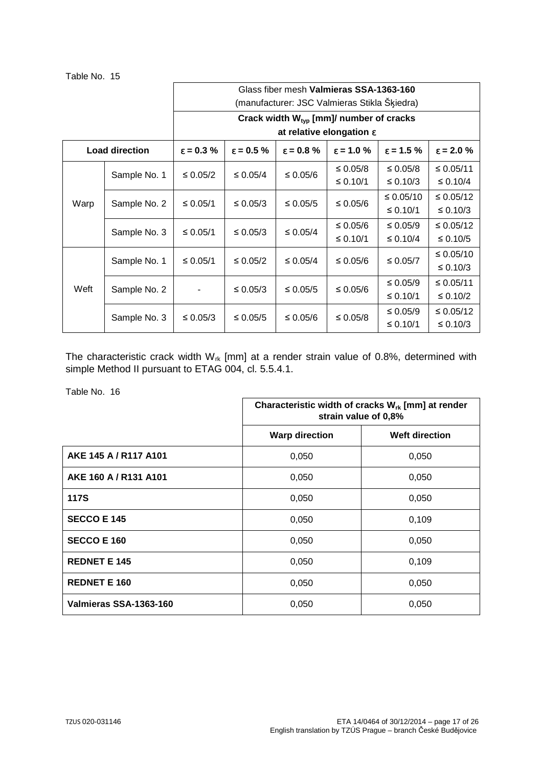| Table No. 15 |  |  |  |  |
|--------------|--|--|--|--|
|--------------|--|--|--|--|

|      |                       | Glass fiber mesh Valmieras SSA-1363-160      |                        |                        |                                      |                        |                    |  |  |  |
|------|-----------------------|----------------------------------------------|------------------------|------------------------|--------------------------------------|------------------------|--------------------|--|--|--|
|      |                       | (manufacturer: JSC Valmieras Stikla Skiedra) |                        |                        |                                      |                        |                    |  |  |  |
|      |                       | Crack width $W_{typ}$ [mm]/ number of cracks |                        |                        |                                      |                        |                    |  |  |  |
|      |                       |                                              |                        |                        | at relative elongation $\varepsilon$ |                        |                    |  |  |  |
|      | <b>Load direction</b> | $\varepsilon = 0.3 \%$                       | $\varepsilon = 0.5 \%$ | $\varepsilon = 0.8 \%$ | $\varepsilon = 1.0 \%$               | $\varepsilon = 1.5 \%$ | $\epsilon$ = 2.0 % |  |  |  |
|      | Sample No. 1          | $\leq 0.05/2$                                | $\leq 0.05/4$          | ≤ 0.05/6               | ≤ 0.05/8                             | $\leq 0.05/8$          | ≤ 0.05/11          |  |  |  |
|      |                       |                                              |                        |                        | ≤ 0.10/1                             | ≤ 0.10/3               | ≤ 0.10/4           |  |  |  |
| Warp | Sample No. 2          | ≤ 0.05/1                                     | ≤ 0.05/3               | ≤ 0.05/5               | ≤ 0.05/6                             | $\leq 0.05/10$         | ≤ 0.05/12          |  |  |  |
|      |                       |                                              |                        |                        |                                      | ≤ 0.10/1               | ≤ 0.10/3           |  |  |  |
|      | Sample No. 3          | ≤ 0.05/1                                     | ≤ 0.05/3               | $\leq 0.05/4$          | ≤ 0.05/6                             | $\leq 0.05/9$          | ≤ 0.05/12          |  |  |  |
|      |                       |                                              |                        |                        | ≤ 0.10/1                             | $\leq 0.10/4$          | ≤ 0.10/5           |  |  |  |
|      | Sample No. 1          | ≤ 0.05/1                                     | $\leq 0.05/2$          | $\leq 0.05/4$          | ≤ 0.05/6                             | ≤ 0.05/7               | ≤ $0.05/10$        |  |  |  |
|      |                       |                                              |                        |                        |                                      |                        | ≤ 0.10/3           |  |  |  |
| Weft | Sample No. 2          |                                              | ≤ 0.05/3               | ≤ 0.05/5               | ≤ 0.05/6                             | $\leq 0.05/9$          | ≤ $0.05/11$        |  |  |  |
|      |                       |                                              |                        |                        |                                      | $\leq 0.10/1$          | ≤ 0.10/2           |  |  |  |
|      | Sample No. 3          | ≤ 0.05/3                                     | ≤ 0.05/5               | ≤ 0.05/6               | ≤ 0.05/8                             | $\leq 0.05/9$          | ≤ 0.05/12          |  |  |  |
|      |                       |                                              |                        |                        |                                      | ≤ 0.10/1               | ≤ 0.10/3           |  |  |  |

The characteristic crack width  $W_{rk}$  [mm] at a render strain value of 0.8%, determined with simple Method II pursuant to ETAG 004, cl. 5.5.4.1.

|                        | Characteristic width of cracks $W_{rk}$ [mm] at render<br>strain value of 0,8% |                       |
|------------------------|--------------------------------------------------------------------------------|-----------------------|
|                        | <b>Warp direction</b>                                                          | <b>Weft direction</b> |
| AKE 145 A / R117 A101  | 0,050                                                                          | 0,050                 |
| AKE 160 A / R131 A101  | 0,050                                                                          | 0,050                 |
| <b>117S</b>            | 0,050                                                                          | 0,050                 |
| <b>SECCO E 145</b>     | 0,050                                                                          | 0,109                 |
| <b>SECCO E 160</b>     | 0,050                                                                          | 0,050                 |
| <b>REDNET E 145</b>    | 0,050                                                                          | 0,109                 |
| <b>REDNET E 160</b>    | 0,050                                                                          | 0,050                 |
| Valmieras SSA-1363-160 | 0,050                                                                          | 0,050                 |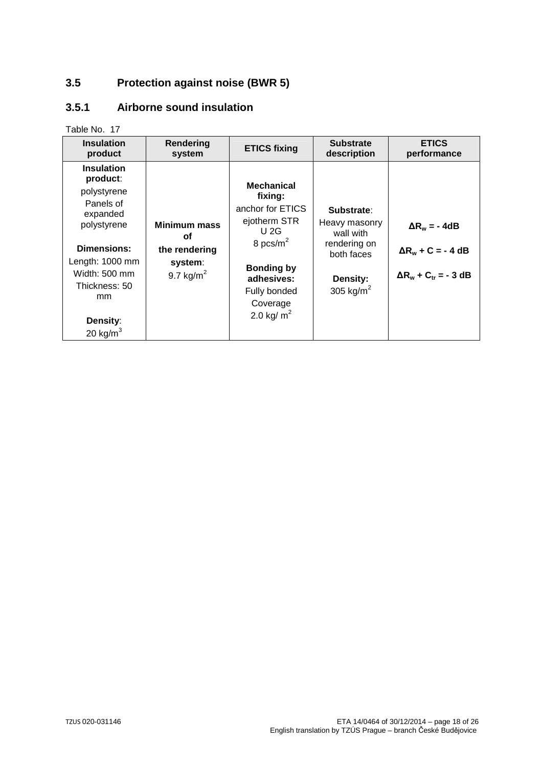# **3.5 Protection against noise (BWR 5)**

## **3.5.1 Airborne sound insulation**

| <b>Insulation</b>                                                                                                                                                                         | Rendering                                                                     | <b>ETICS fixing</b>                                                                                                                                                        | <b>Substrate</b>                                                                                   | <b>ETICS</b>                                                                     |
|-------------------------------------------------------------------------------------------------------------------------------------------------------------------------------------------|-------------------------------------------------------------------------------|----------------------------------------------------------------------------------------------------------------------------------------------------------------------------|----------------------------------------------------------------------------------------------------|----------------------------------------------------------------------------------|
| product                                                                                                                                                                                   | system                                                                        |                                                                                                                                                                            | description                                                                                        | performance                                                                      |
| <b>Insulation</b><br>product:<br>polystyrene<br>Panels of<br>expanded<br>polystyrene<br>Dimensions:<br>Length: 1000 mm<br>Width: 500 mm<br>Thickness: 50<br>mm<br>Density:<br>20 kg/ $m3$ | <b>Minimum mass</b><br><b>of</b><br>the rendering<br>system:<br>9.7 kg/ $m^2$ | <b>Mechanical</b><br>fixing:<br>anchor for ETICS<br>ejotherm STR<br>$U$ 2G<br>8 pcs/ $m^2$<br><b>Bonding by</b><br>adhesives:<br>Fully bonded<br>Coverage<br>2.0 kg/ $m^2$ | Substrate:<br>Heavy masonry<br>wall with<br>rendering on<br>both faces<br>Density:<br>305 kg/ $m2$ | $\Delta R_w = -4dB$<br>$\Delta R_w + C = -4 dB$<br>$\Delta R_w + C_{tr} = -3 dB$ |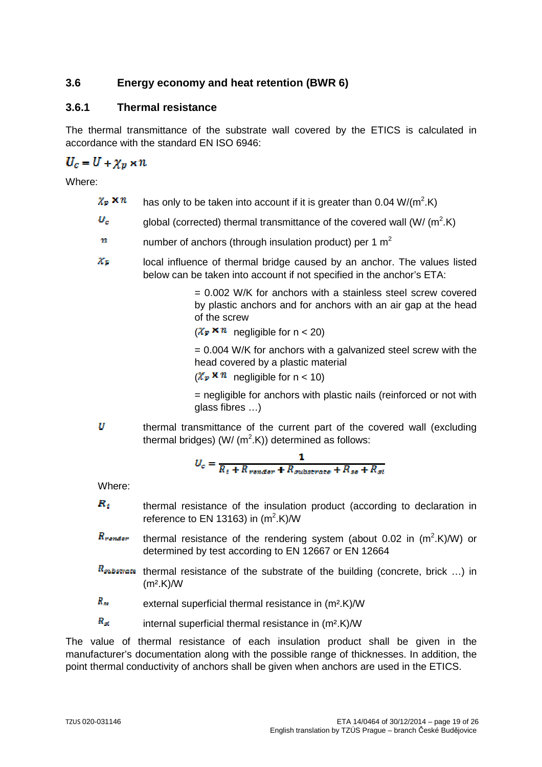# **3.6 Energy economy and heat retention (BWR 6)**

#### **3.6.1 Thermal resistance**

The thermal transmittance of the substrate wall covered by the ETICS is calculated in accordance with the standard EN ISO 6946:

# $U_c = U + \chi_n \times n$

Where:

- $\chi_n \times n$ has only to be taken into account if it is greater than  $0.04 \text{ W/(m}^2 \text{K})$
- global (corrected) thermal transmittance of the covered wall (W/ $(m^2.K)$
- $n$  number of anchors (through insulation product) per 1 m<sup>2</sup>
- $X_{\mathbb{F}}$  local influence of thermal bridge caused by an anchor. The values listed below can be taken into account if not specified in the anchor's ETA:

= 0.002 W/K for anchors with a stainless steel screw covered by plastic anchors and for anchors with an air gap at the head of the screw

 $(\chi_p \times n$  negligible for n < 20)

 $= 0.004$  W/K for anchors with a galvanized steel screw with the head covered by a plastic material

 $(\chi_p \times n$  negligible for n < 10)

 = negligible for anchors with plastic nails (reinforced or not with glass fibres …)

 $\boldsymbol{\mathcal{U}}$  thermal transmittance of the current part of the covered wall (excluding thermal bridges) (W/ (m<sup>2</sup>.K)) determined as follows:

$$
U_c = \frac{1}{R_t + R_{render} + R_{substrates} + R_{se} + R_{st}}
$$

Where:

- $R_i$  thermal resistance of the insulation product (according to declaration in reference to EN 13163) in  $(m^2.K)/W$
- $R_{conder}$ thermal resistance of the rendering system (about 0.02 in  $(m^2.K)/W$ ) or determined by test according to EN 12667 or EN 12664
- $R_{substructure}$  thermal resistance of the substrate of the building (concrete, brick ...) in  $(m<sup>2</sup>.K)$ /W
- $R_{\rm ss}$  external superficial thermal resistance in (m<sup>2</sup>.K)/W

 $R_{\rm st}$  internal superficial thermal resistance in (m<sup>2</sup>.K)/W

The value of thermal resistance of each insulation product shall be given in the manufacturer's documentation along with the possible range of thicknesses. In addition, the point thermal conductivity of anchors shall be given when anchors are used in the ETICS.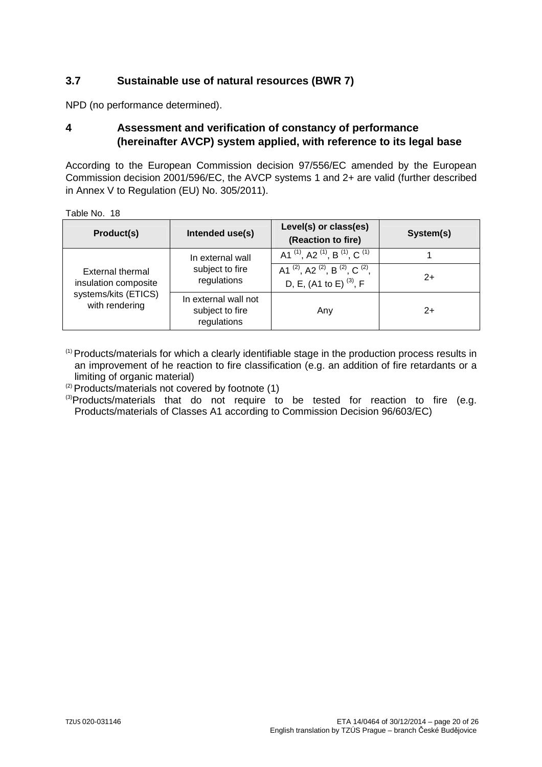## **3.7 Sustainable use of natural resources (BWR 7)**

NPD (no performance determined).

#### **4 Assessment and verification of constancy of performance (hereinafter AVCP) system applied, with reference to its legal base**

According to the European Commission decision 97/556/EC amended by the European Commission decision 2001/596/EC, the AVCP systems 1 and 2+ are valid (further described in Annex V to Regulation (EU) No. 305/2011).

Table No. 18

| Product(s)                                                                         | Intended use(s)                                        | Level(s) or class(es)<br>(Reaction to fire)                                                                         | System(s) |
|------------------------------------------------------------------------------------|--------------------------------------------------------|---------------------------------------------------------------------------------------------------------------------|-----------|
|                                                                                    | In external wall                                       | A1 $^{(1)}$ , A2 $^{(1)}$ , B $^{(1)}$ , C $^{(1)}$                                                                 |           |
| External thermal<br>insulation composite<br>systems/kits (ETICS)<br>with rendering | subject to fire<br>regulations                         | A1 <sup>(2)</sup> , A2 <sup>(2)</sup> , B <sup>(2)</sup> , C <sup>(2)</sup> ,<br>D, E, (A1 to E) <sup>(3)</sup> , F | $2+$      |
|                                                                                    | In external wall not<br>subject to fire<br>regulations | Any                                                                                                                 | $2+$      |

(1) Products/materials for which a clearly identifiable stage in the production process results in an improvement of he reaction to fire classification (e.g. an addition of fire retardants or a limiting of organic material)

(2) Products/materials not covered by footnote (1)

<sup>(3)</sup>Products/materials that do not require to be tested for reaction to fire (e.g. Products/materials of Classes A1 according to Commission Decision 96/603/EC)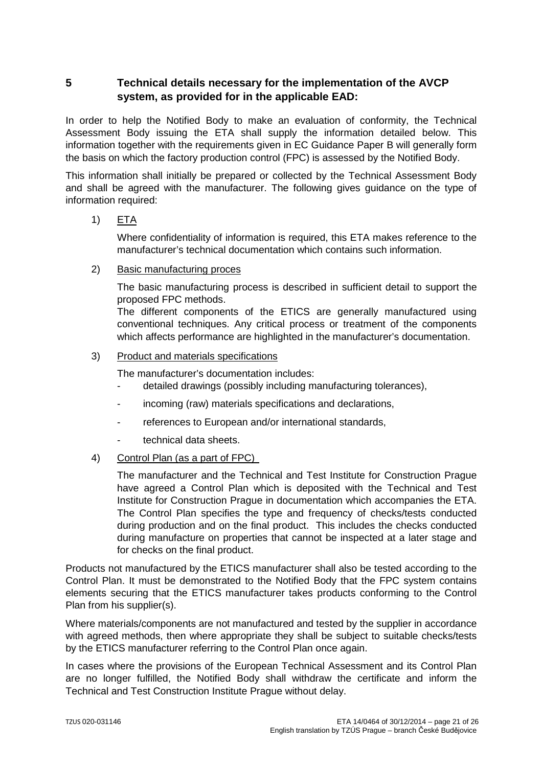## **5 Technical details necessary for the implementation of the AVCP system, as provided for in the applicable EAD:**

In order to help the Notified Body to make an evaluation of conformity, the Technical Assessment Body issuing the ETA shall supply the information detailed below. This information together with the requirements given in EC Guidance Paper B will generally form the basis on which the factory production control (FPC) is assessed by the Notified Body.

This information shall initially be prepared or collected by the Technical Assessment Body and shall be agreed with the manufacturer. The following gives guidance on the type of information required:

#### 1) ETA

Where confidentiality of information is required, this ETA makes reference to the manufacturer's technical documentation which contains such information.

#### 2) Basic manufacturing proces

The basic manufacturing process is described in sufficient detail to support the proposed FPC methods.

The different components of the ETICS are generally manufactured using conventional techniques. Any critical process or treatment of the components which affects performance are highlighted in the manufacturer's documentation.

#### 3) Product and materials specifications

The manufacturer's documentation includes:

- detailed drawings (possibly including manufacturing tolerances),
- incoming (raw) materials specifications and declarations,
- references to European and/or international standards,
- technical data sheets.

#### 4) Control Plan (as a part of FPC)

The manufacturer and the Technical and Test Institute for Construction Prague have agreed a Control Plan which is deposited with the Technical and Test Institute for Construction Prague in documentation which accompanies the ETA. The Control Plan specifies the type and frequency of checks/tests conducted during production and on the final product. This includes the checks conducted during manufacture on properties that cannot be inspected at a later stage and for checks on the final product.

Products not manufactured by the ETICS manufacturer shall also be tested according to the Control Plan. It must be demonstrated to the Notified Body that the FPC system contains elements securing that the ETICS manufacturer takes products conforming to the Control Plan from his supplier(s).

Where materials/components are not manufactured and tested by the supplier in accordance with agreed methods, then where appropriate they shall be subject to suitable checks/tests by the ETICS manufacturer referring to the Control Plan once again.

In cases where the provisions of the European Technical Assessment and its Control Plan are no longer fulfilled, the Notified Body shall withdraw the certificate and inform the Technical and Test Construction Institute Prague without delay.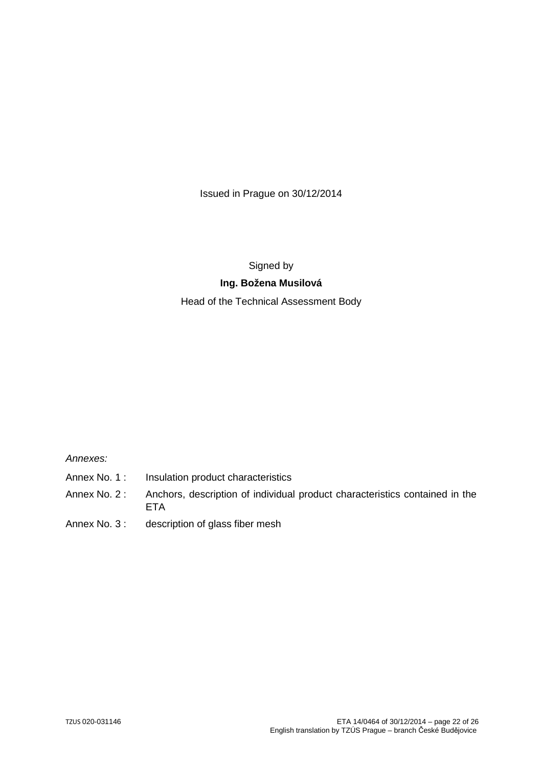Issued in Prague on 30/12/2014

Signed by

#### **Ing. Božena Musilová**

Head of the Technical Assessment Body

Annexes:

- Annex No. 1 : Insulation product characteristics
- Annex No. 2 : Anchors, description of individual product characteristics contained in the **ETA**
- Annex No. 3: description of glass fiber mesh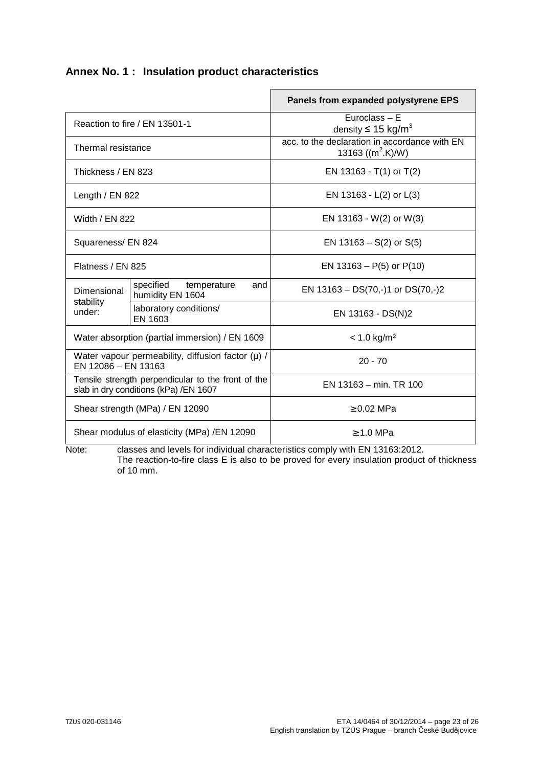# **Annex No. 1 : Insulation product characteristics**

|                                                                                             |                                                     | Panels from expanded polystyrene EPS                                   |  |
|---------------------------------------------------------------------------------------------|-----------------------------------------------------|------------------------------------------------------------------------|--|
| Reaction to fire / EN 13501-1                                                               |                                                     | Euroclass - E<br>density $\leq 15$ kg/m <sup>3</sup>                   |  |
| Thermal resistance                                                                          |                                                     | acc. to the declaration in accordance with EN<br>13163 ( $(m^2.K)/W$ ) |  |
| Thickness / EN 823                                                                          |                                                     | EN 13163 - $T(1)$ or $T(2)$                                            |  |
| Length / EN 822                                                                             |                                                     | EN 13163 - L(2) or L(3)                                                |  |
| Width / EN 822                                                                              |                                                     | EN 13163 - W(2) or W(3)                                                |  |
| Squareness/ EN 824                                                                          |                                                     | EN $13163 - S(2)$ or $S(5)$                                            |  |
| Flatness / EN 825                                                                           |                                                     | EN $13163 - P(5)$ or $P(10)$                                           |  |
| Dimensional                                                                                 | specified<br>temperature<br>and<br>humidity EN 1604 | EN $13163 - DS(70,-)1$ or $DS(70,-)2$                                  |  |
| stability<br>under:                                                                         | laboratory conditions/<br>EN 1603                   | EN 13163 - DS(N)2                                                      |  |
|                                                                                             | Water absorption (partial immersion) / EN 1609      | $< 1.0$ kg/m <sup>2</sup>                                              |  |
| Water vapour permeability, diffusion factor $(\mu)$ /<br>EN 12086 - EN 13163                |                                                     | $20 - 70$                                                              |  |
| Tensile strength perpendicular to the front of the<br>slab in dry conditions (kPa) /EN 1607 |                                                     | EN 13163 - min. TR 100                                                 |  |
| Shear strength (MPa) / EN 12090                                                             |                                                     | $\geq 0.02$ MPa                                                        |  |
|                                                                                             | Shear modulus of elasticity (MPa) / EN 12090        | $\geq 1.0$ MPa                                                         |  |

Note: classes and levels for individual characteristics comply with EN 13163:2012. The reaction-to-fire class E is also to be proved for every insulation product of thickness of 10 mm.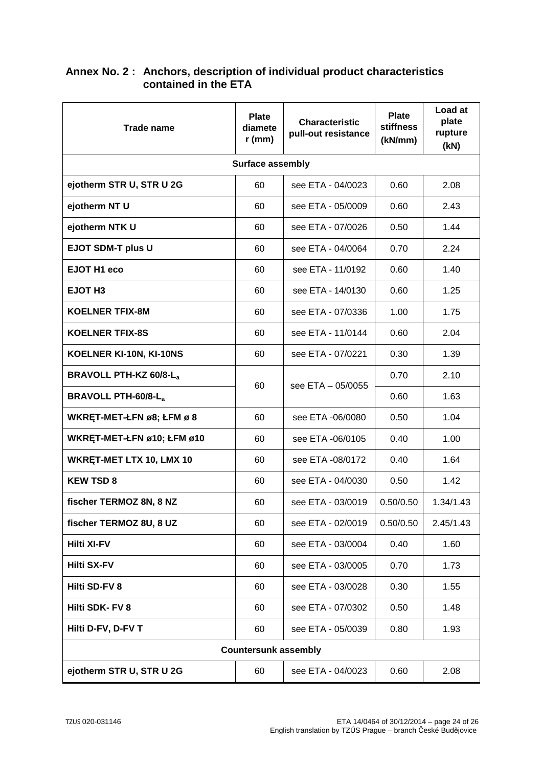| <b>Trade name</b>             | <b>Plate</b><br>diamete<br>$r$ (mm) | <b>Characteristic</b><br>pull-out resistance | <b>Plate</b><br><b>stiffness</b><br>(kN/mm) | Load at<br>plate<br>rupture<br>(kN) |
|-------------------------------|-------------------------------------|----------------------------------------------|---------------------------------------------|-------------------------------------|
|                               | <b>Surface assembly</b>             |                                              |                                             |                                     |
| ejotherm STR U, STR U 2G      | 60                                  | see ETA - 04/0023                            | 0.60                                        | 2.08                                |
| ejotherm NT U                 | 60                                  | see ETA - 05/0009                            | 0.60                                        | 2.43                                |
| ejotherm NTK U                | 60                                  | see ETA - 07/0026                            | 0.50                                        | 1.44                                |
| <b>EJOT SDM-T plus U</b>      | 60                                  | see ETA - 04/0064                            | 0.70                                        | 2.24                                |
| EJOT H1 eco                   | 60                                  | see ETA - 11/0192                            | 0.60                                        | 1.40                                |
| EJOT H <sub>3</sub>           | 60                                  | see ETA - 14/0130                            | 0.60                                        | 1.25                                |
| <b>KOELNER TFIX-8M</b>        | 60                                  | see ETA - 07/0336                            | 1.00                                        | 1.75                                |
| <b>KOELNER TFIX-8S</b>        | 60                                  | see ETA - 11/0144                            | 0.60                                        | 2.04                                |
| KOELNER KI-10N, KI-10NS       | 60                                  | see ETA - 07/0221                            | 0.30                                        | 1.39                                |
| <b>BRAVOLL PTH-KZ 60/8-La</b> |                                     |                                              | 0.70                                        | 2.10                                |
| <b>BRAVOLL PTH-60/8-La</b>    |                                     | 60<br>see ETA - 05/0055                      |                                             | 1.63                                |
| WKRET-MET-ŁFN ø8; ŁFM ø 8     | 60                                  | see ETA -06/0080                             | 0.50                                        | 1.04                                |
| WKRET-MET-ŁFN ø10; ŁFM ø10    | 60                                  | see ETA -06/0105                             | 0.40                                        | 1.00                                |
| WKRET-MET LTX 10, LMX 10      | 60                                  | see ETA -08/0172                             | 0.40                                        | 1.64                                |
| <b>KEW TSD 8</b>              | 60                                  | see ETA - 04/0030                            | 0.50                                        | 1.42                                |
| fischer TERMOZ 8N, 8 NZ       | 60                                  | see ETA - 03/0019                            | 0.50/0.50                                   | 1.34/1.43                           |
| fischer TERMOZ 8U, 8 UZ       | 60                                  | see ETA - 02/0019                            | 0.50/0.50                                   | 2.45/1.43                           |
| <b>Hilti XI-FV</b>            | 60                                  | see ETA - 03/0004                            | 0.40                                        | 1.60                                |
| <b>Hilti SX-FV</b>            | 60                                  | see ETA - 03/0005                            | 0.70                                        | 1.73                                |
| Hilti SD-FV 8                 | 60                                  | see ETA - 03/0028                            | 0.30                                        | 1.55                                |
| Hilti SDK- FV 8               | 60                                  | see ETA - 07/0302                            | 0.50                                        | 1.48                                |
| Hilti D-FV, D-FV T            | 60                                  | see ETA - 05/0039                            | 0.80                                        | 1.93                                |
| <b>Countersunk assembly</b>   |                                     |                                              |                                             |                                     |
| ejotherm STR U, STR U 2G      | 60                                  | see ETA - 04/0023                            | 0.60                                        | 2.08                                |

#### **Annex No. 2 : Anchors, description of individual product characteristics contained in the ETA**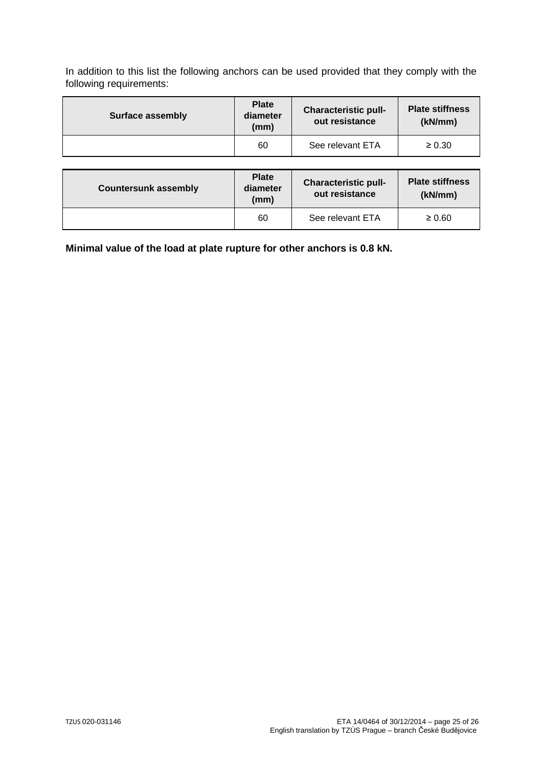In addition to this list the following anchors can be used provided that they comply with the following requirements:

| <b>Surface assembly</b> | <b>Plate</b><br>diameter<br>(mm) | <b>Characteristic pull-</b><br>out resistance | <b>Plate stiffness</b><br>(kN/mm) |
|-------------------------|----------------------------------|-----------------------------------------------|-----------------------------------|
|                         | 60                               | See relevant ETA                              | $\geq 0.30$                       |

| <b>Countersunk assembly</b> | <b>Plate</b><br>diameter<br>(mm) | <b>Characteristic pull-</b><br>out resistance | <b>Plate stiffness</b><br>(kN/mm) |
|-----------------------------|----------------------------------|-----------------------------------------------|-----------------------------------|
|                             | 60                               | See relevant ETA                              | $\geq 0.60$                       |

**Minimal value of the load at plate rupture for other anchors is 0.8 kN.**